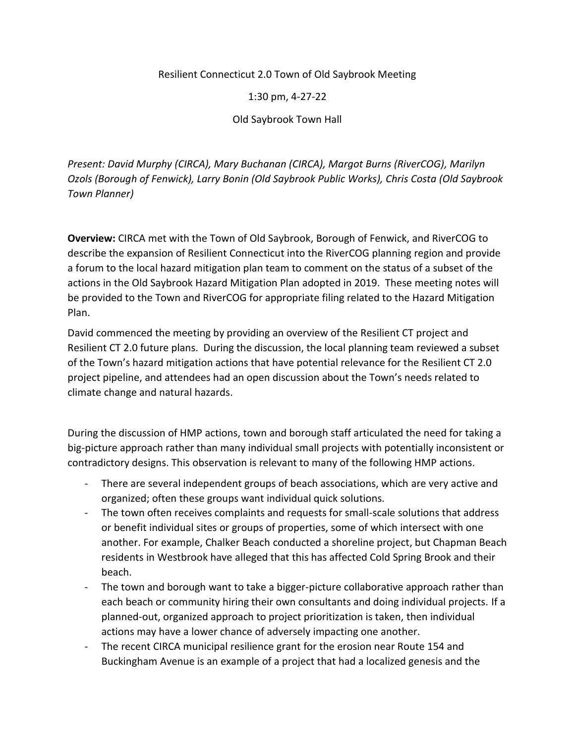Resilient Connecticut 2.0 Town of Old Saybrook Meeting

1:30 pm, 4-27-22

Old Saybrook Town Hall

*Present: David Murphy (CIRCA), Mary Buchanan (CIRCA), Margot Burns (RiverCOG), Marilyn Ozols (Borough of Fenwick), Larry Bonin (Old Saybrook Public Works), Chris Costa (Old Saybrook Town Planner)*

**Overview:** CIRCA met with the Town of Old Saybrook, Borough of Fenwick, and RiverCOG to describe the expansion of Resilient Connecticut into the RiverCOG planning region and provide a forum to the local hazard mitigation plan team to comment on the status of a subset of the actions in the Old Saybrook Hazard Mitigation Plan adopted in 2019. These meeting notes will be provided to the Town and RiverCOG for appropriate filing related to the Hazard Mitigation Plan.

David commenced the meeting by providing an overview of the Resilient CT project and Resilient CT 2.0 future plans. During the discussion, the local planning team reviewed a subset of the Town's hazard mitigation actions that have potential relevance for the Resilient CT 2.0 project pipeline, and attendees had an open discussion about the Town's needs related to climate change and natural hazards.

During the discussion of HMP actions, town and borough staff articulated the need for taking a big-picture approach rather than many individual small projects with potentially inconsistent or contradictory designs. This observation is relevant to many of the following HMP actions.

- There are several independent groups of beach associations, which are very active and organized; often these groups want individual quick solutions.
- The town often receives complaints and requests for small-scale solutions that address or benefit individual sites or groups of properties, some of which intersect with one another. For example, Chalker Beach conducted a shoreline project, but Chapman Beach residents in Westbrook have alleged that this has affected Cold Spring Brook and their beach.
- The town and borough want to take a bigger-picture collaborative approach rather than each beach or community hiring their own consultants and doing individual projects. If a planned-out, organized approach to project prioritization is taken, then individual actions may have a lower chance of adversely impacting one another.
- The recent CIRCA municipal resilience grant for the erosion near Route 154 and Buckingham Avenue is an example of a project that had a localized genesis and the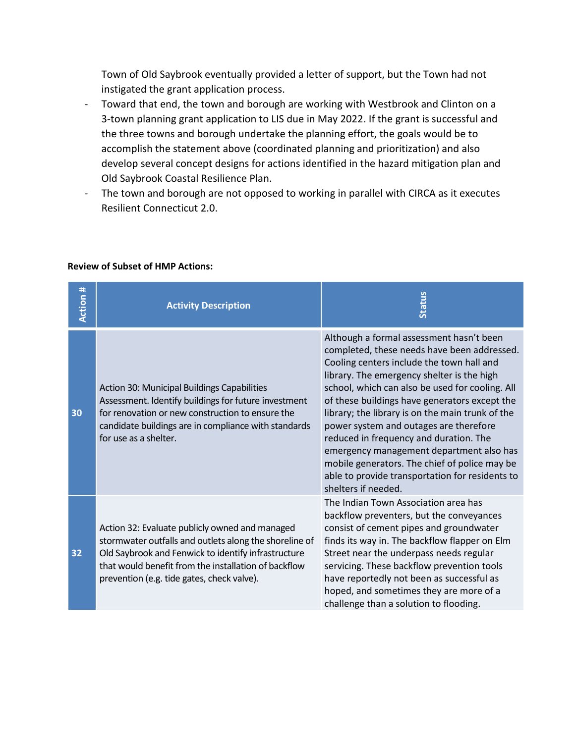Town of Old Saybrook eventually provided a letter of support, but the Town had not instigated the grant application process.

- Toward that end, the town and borough are working with Westbrook and Clinton on a 3-town planning grant application to LIS due in May 2022. If the grant is successful and the three towns and borough undertake the planning effort, the goals would be to accomplish the statement above (coordinated planning and prioritization) and also develop several concept designs for actions identified in the hazard mitigation plan and Old Saybrook Coastal Resilience Plan.
- The town and borough are not opposed to working in parallel with CIRCA as it executes Resilient Connecticut 2.0.

| Action # | <b>Activity Description</b>                                                                                                                                                                                                                                           | <b>Status</b>                                                                                                                                                                                                                                                                                                                                                                                                                                                                                                                                                                                         |
|----------|-----------------------------------------------------------------------------------------------------------------------------------------------------------------------------------------------------------------------------------------------------------------------|-------------------------------------------------------------------------------------------------------------------------------------------------------------------------------------------------------------------------------------------------------------------------------------------------------------------------------------------------------------------------------------------------------------------------------------------------------------------------------------------------------------------------------------------------------------------------------------------------------|
| 30       | Action 30: Municipal Buildings Capabilities<br>Assessment. Identify buildings for future investment<br>for renovation or new construction to ensure the<br>candidate buildings are in compliance with standards<br>for use as a shelter.                              | Although a formal assessment hasn't been<br>completed, these needs have been addressed.<br>Cooling centers include the town hall and<br>library. The emergency shelter is the high<br>school, which can also be used for cooling. All<br>of these buildings have generators except the<br>library; the library is on the main trunk of the<br>power system and outages are therefore<br>reduced in frequency and duration. The<br>emergency management department also has<br>mobile generators. The chief of police may be<br>able to provide transportation for residents to<br>shelters if needed. |
| 32       | Action 32: Evaluate publicly owned and managed<br>stormwater outfalls and outlets along the shoreline of<br>Old Saybrook and Fenwick to identify infrastructure<br>that would benefit from the installation of backflow<br>prevention (e.g. tide gates, check valve). | The Indian Town Association area has<br>backflow preventers, but the conveyances<br>consist of cement pipes and groundwater<br>finds its way in. The backflow flapper on Elm<br>Street near the underpass needs regular<br>servicing. These backflow prevention tools<br>have reportedly not been as successful as<br>hoped, and sometimes they are more of a<br>challenge than a solution to flooding.                                                                                                                                                                                               |

## **Review of Subset of HMP Actions:**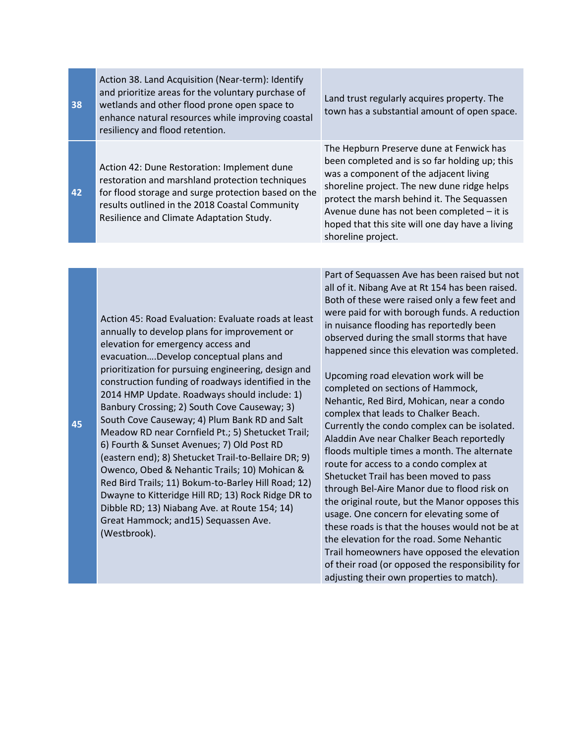**38** Action 38. Land Acquisition (Near-term): Identify and prioritize areas for the voluntary purchase of wetlands and other flood prone open space to enhance natural resources while improving coastal resiliency and flood retention.

Action 42: Dune Restoration: Implement dune restoration and marshland protection techniques for flood storage and surge protection based on the results outlined in the 2018 Coastal Community Resilience and Climate Adaptation Study.

Land trust regularly acquires property. The town has a substantial amount of open space.

The Hepburn Preserve dune at Fenwick has been completed and is so far holding up; this was a component of the adjacent living shoreline project. The new dune ridge helps protect the marsh behind it. The Sequassen Avenue dune has not been completed – it is hoped that this site will one day have a living shoreline project.

Action 45: Road Evaluation: Evaluate roads at least annually to develop plans for improvement or elevation for emergency access and evacuation….Develop conceptual plans and prioritization for pursuing engineering, design and construction funding of roadways identified in the 2014 HMP Update. Roadways should include: 1) Banbury Crossing; 2) South Cove Causeway; 3) South Cove Causeway; 4) Plum Bank RD and Salt Meadow RD near Cornfield Pt.; 5) Shetucket Trail; 6) Fourth & Sunset Avenues; 7) Old Post RD (eastern end); 8) Shetucket Trail-to-Bellaire DR; 9) Owenco, Obed & Nehantic Trails; 10) Mohican & Red Bird Trails; 11) Bokum-to-Barley Hill Road; 12) Dwayne to Kitteridge Hill RD; 13) Rock Ridge DR to Dibble RD; 13) Niabang Ave. at Route 154; 14) Great Hammock; and15) Sequassen Ave. (Westbrook).

Part of Sequassen Ave has been raised but not all of it. Nibang Ave at Rt 154 has been raised. Both of these were raised only a few feet and were paid for with borough funds. A reduction in nuisance flooding has reportedly been observed during the small storms that have happened since this elevation was completed.

Upcoming road elevation work will be completed on sections of Hammock, Nehantic, Red Bird, Mohican, near a condo complex that leads to Chalker Beach. Currently the condo complex can be isolated. Aladdin Ave near Chalker Beach reportedly floods multiple times a month. The alternate route for access to a condo complex at Shetucket Trail has been moved to pass through Bel-Aire Manor due to flood risk on the original route, but the Manor opposes this usage. One concern for elevating some of these roads is that the houses would not be at the elevation for the road. Some Nehantic Trail homeowners have opposed the elevation of their road (or opposed the responsibility for adjusting their own properties to match).

**42**

**45**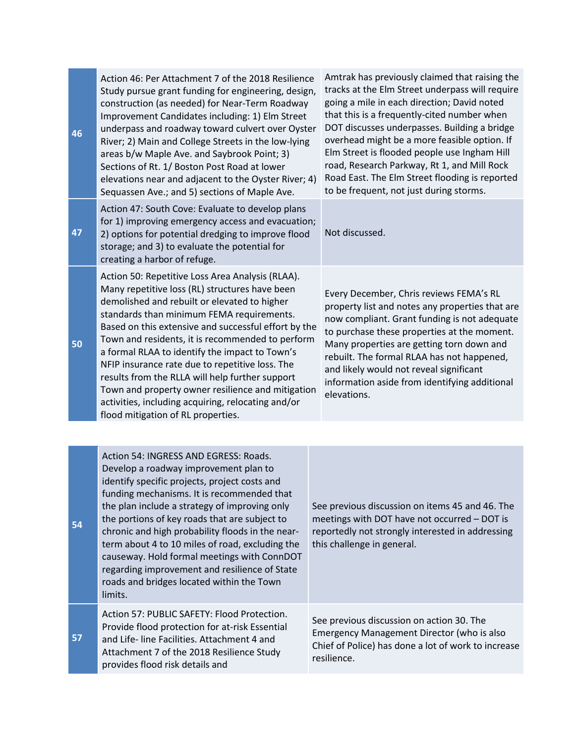| 46 | Action 46: Per Attachment 7 of the 2018 Resilience<br>Study pursue grant funding for engineering, design,<br>construction (as needed) for Near-Term Roadway<br>Improvement Candidates including: 1) Elm Street<br>underpass and roadway toward culvert over Oyster<br>River; 2) Main and College Streets in the low-lying<br>areas b/w Maple Ave. and Saybrook Point; 3)<br>Sections of Rt. 1/ Boston Post Road at lower<br>elevations near and adjacent to the Oyster River; 4)<br>Sequassen Ave.; and 5) sections of Maple Ave.                                                                                    | Amtrak has previously claimed that raising the<br>tracks at the Elm Street underpass will require<br>going a mile in each direction; David noted<br>that this is a frequently-cited number when<br>DOT discusses underpasses. Building a bridge<br>overhead might be a more feasible option. If<br>Elm Street is flooded people use Ingham Hill<br>road, Research Parkway, Rt 1, and Mill Rock<br>Road East. The Elm Street flooding is reported<br>to be frequent, not just during storms. |
|----|----------------------------------------------------------------------------------------------------------------------------------------------------------------------------------------------------------------------------------------------------------------------------------------------------------------------------------------------------------------------------------------------------------------------------------------------------------------------------------------------------------------------------------------------------------------------------------------------------------------------|---------------------------------------------------------------------------------------------------------------------------------------------------------------------------------------------------------------------------------------------------------------------------------------------------------------------------------------------------------------------------------------------------------------------------------------------------------------------------------------------|
| 47 | Action 47: South Cove: Evaluate to develop plans<br>for 1) improving emergency access and evacuation;<br>2) options for potential dredging to improve flood<br>storage; and 3) to evaluate the potential for<br>creating a harbor of refuge.                                                                                                                                                                                                                                                                                                                                                                         | Not discussed.                                                                                                                                                                                                                                                                                                                                                                                                                                                                              |
| 50 | Action 50: Repetitive Loss Area Analysis (RLAA).<br>Many repetitive loss (RL) structures have been<br>demolished and rebuilt or elevated to higher<br>standards than minimum FEMA requirements.<br>Based on this extensive and successful effort by the<br>Town and residents, it is recommended to perform<br>a formal RLAA to identify the impact to Town's<br>NFIP insurance rate due to repetitive loss. The<br>results from the RLLA will help further support<br>Town and property owner resilience and mitigation<br>activities, including acquiring, relocating and/or<br>flood mitigation of RL properties. | Every December, Chris reviews FEMA's RL<br>property list and notes any properties that are<br>now compliant. Grant funding is not adequate<br>to purchase these properties at the moment.<br>Many properties are getting torn down and<br>rebuilt. The formal RLAA has not happened,<br>and likely would not reveal significant<br>information aside from identifying additional<br>elevations.                                                                                             |
|    |                                                                                                                                                                                                                                                                                                                                                                                                                                                                                                                                                                                                                      |                                                                                                                                                                                                                                                                                                                                                                                                                                                                                             |
| 54 | Action 54: INGRESS AND EGRESS: Roads.<br>Develop a roadway improvement plan to<br>identify specific projects, project costs and<br>funding mechanisms. It is recommended that<br>the plan include a strategy of improving only<br>the portions of key roads that are subject to<br>chronic and high probability floods in the near-<br>term about 4 to 10 miles of road, excluding the<br>causeway. Hold formal meetings with ConnDOT<br>regarding improvement and resilience of State<br>roads and bridges located within the Town<br>limits.                                                                       | See previous discussion on items 45 and 46. The<br>meetings with DOT have not occurred - DOT is<br>reportedly not strongly interested in addressing<br>this challenge in general.                                                                                                                                                                                                                                                                                                           |
| 57 | Action 57: PUBLIC SAFETY: Flood Protection.<br>Provide flood protection for at-risk Essential<br>and Life- line Facilities. Attachment 4 and<br>Attachment 7 of the 2018 Resilience Study<br>provides flood risk details and                                                                                                                                                                                                                                                                                                                                                                                         | See previous discussion on action 30. The<br>Emergency Management Director (who is also<br>Chief of Police) has done a lot of work to increase<br>resilience.                                                                                                                                                                                                                                                                                                                               |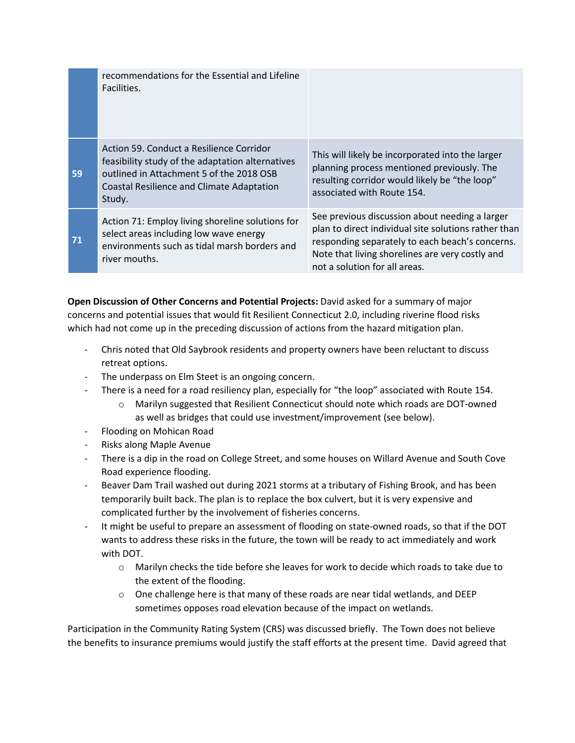|    | recommendations for the Essential and Lifeline<br>Facilities.                                                                                                                                   |                                                                                                                                                                                                                                               |
|----|-------------------------------------------------------------------------------------------------------------------------------------------------------------------------------------------------|-----------------------------------------------------------------------------------------------------------------------------------------------------------------------------------------------------------------------------------------------|
| 59 | Action 59. Conduct a Resilience Corridor<br>feasibility study of the adaptation alternatives<br>outlined in Attachment 5 of the 2018 OSB<br>Coastal Resilience and Climate Adaptation<br>Study. | This will likely be incorporated into the larger<br>planning process mentioned previously. The<br>resulting corridor would likely be "the loop"<br>associated with Route 154.                                                                 |
| 71 | Action 71: Employ living shoreline solutions for<br>select areas including low wave energy<br>environments such as tidal marsh borders and<br>river mouths.                                     | See previous discussion about needing a larger<br>plan to direct individual site solutions rather than<br>responding separately to each beach's concerns.<br>Note that living shorelines are very costly and<br>not a solution for all areas. |

**Open Discussion of Other Concerns and Potential Projects:** David asked for a summary of major concerns and potential issues that would fit Resilient Connecticut 2.0, including riverine flood risks which had not come up in the preceding discussion of actions from the hazard mitigation plan.

- Chris noted that Old Saybrook residents and property owners have been reluctant to discuss retreat options.
- The underpass on Elm Steet is an ongoing concern.
- There is a need for a road resiliency plan, especially for "the loop" associated with Route 154.
	- o Marilyn suggested that Resilient Connecticut should note which roads are DOT-owned as well as bridges that could use investment/improvement (see below).
- Flooding on Mohican Road
- Risks along Maple Avenue
- There is a dip in the road on College Street, and some houses on Willard Avenue and South Cove Road experience flooding.
- Beaver Dam Trail washed out during 2021 storms at a tributary of Fishing Brook, and has been temporarily built back. The plan is to replace the box culvert, but it is very expensive and complicated further by the involvement of fisheries concerns.
- It might be useful to prepare an assessment of flooding on state-owned roads, so that if the DOT wants to address these risks in the future, the town will be ready to act immediately and work with DOT.
	- $\circ$  Marilyn checks the tide before she leaves for work to decide which roads to take due to the extent of the flooding.
	- $\circ$  One challenge here is that many of these roads are near tidal wetlands, and DEEP sometimes opposes road elevation because of the impact on wetlands.

Participation in the Community Rating System (CRS) was discussed briefly. The Town does not believe the benefits to insurance premiums would justify the staff efforts at the present time. David agreed that